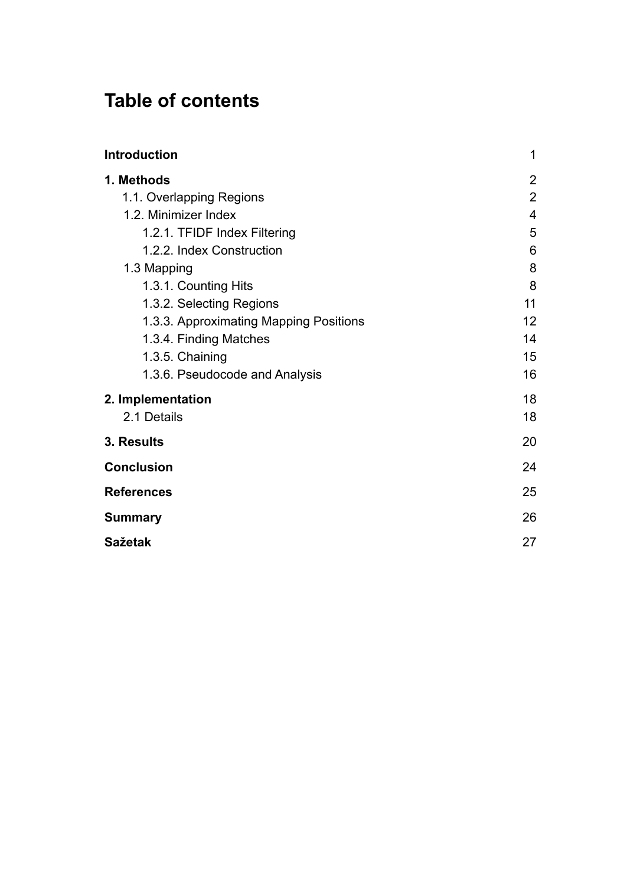# **Table of contents**

| <b>Introduction</b>                    | 1                       |
|----------------------------------------|-------------------------|
| 1. Methods                             | $\overline{2}$          |
| 1.1. Overlapping Regions               | $\overline{2}$          |
| 1.2. Minimizer Index                   | $\overline{\mathbf{4}}$ |
| 1.2.1. TFIDF Index Filtering           | 5                       |
| 1.2.2. Index Construction              | 6                       |
| 1.3 Mapping                            | 8                       |
| 1.3.1. Counting Hits                   | 8                       |
| 1.3.2. Selecting Regions               | 11                      |
| 1.3.3. Approximating Mapping Positions | 12                      |
| 1.3.4. Finding Matches                 | 14                      |
| 1.3.5. Chaining                        | 15                      |
| 1.3.6. Pseudocode and Analysis         | 16                      |
| 2. Implementation                      | 18                      |
| 2.1 Details                            | 18                      |
| 3. Results                             | 20                      |
| <b>Conclusion</b>                      | 24                      |
| <b>References</b>                      | 25                      |
| <b>Summary</b>                         | 26                      |
| <b>Sažetak</b>                         | 27                      |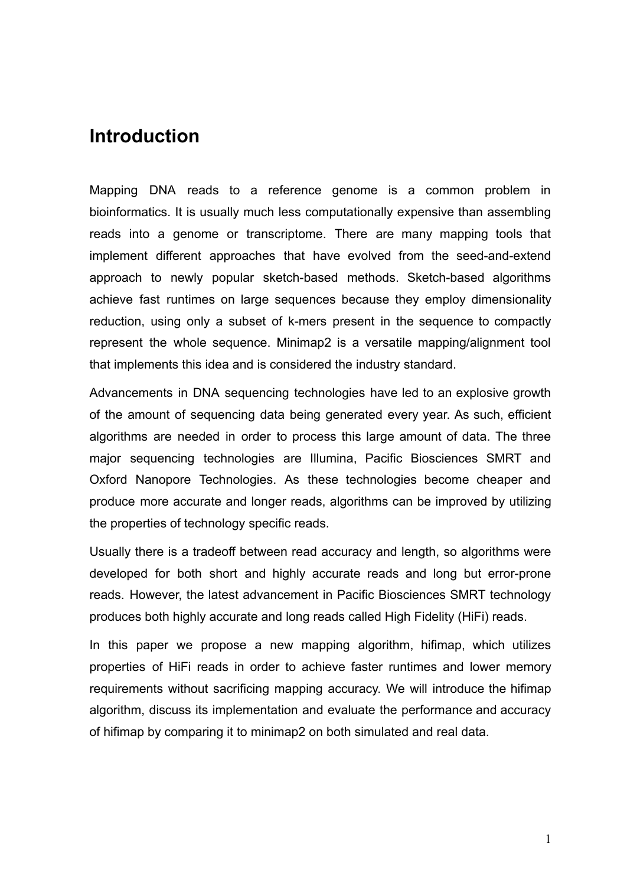## <span id="page-2-0"></span>**Introduction**

Mapping DNA reads to a reference genome is a common problem in bioinformatics. It is usually much less computationally expensive than assembling reads into a genome or transcriptome. There are many mapping tools that implement different approaches that have evolved from the seed-and-extend approach to newly popular sketch-based methods. Sketch-based algorithms achieve fast runtimes on large sequences because they employ dimensionality reduction, using only a subset of k-mers present in the sequence to compactly represent the whole sequence. Minimap2 is a versatile mapping/alignment tool that implements this idea and is considered the industry standard.

Advancements in DNA sequencing technologies have led to an explosive growth of the amount of sequencing data being generated every year. As such, efficient algorithms are needed in order to process this large amount of data. The three major sequencing technologies are Illumina, Pacific Biosciences SMRT and Oxford Nanopore Technologies. As these technologies become cheaper and produce more accurate and longer reads, algorithms can be improved by utilizing the properties of technology specific reads.

Usually there is a tradeoff between read accuracy and length, so algorithms were developed for both short and highly accurate reads and long but error-prone reads. However, the latest advancement in Pacific Biosciences SMRT technology produces both highly accurate and long reads called High Fidelity (HiFi) reads.

In this paper we propose a new mapping algorithm, hifimap, which utilizes properties of HiFi reads in order to achieve faster runtimes and lower memory requirements without sacrificing mapping accuracy. We will introduce the hifimap algorithm, discuss its implementation and evaluate the performance and accuracy of hifimap by comparing it to minimap2 on both simulated and real data.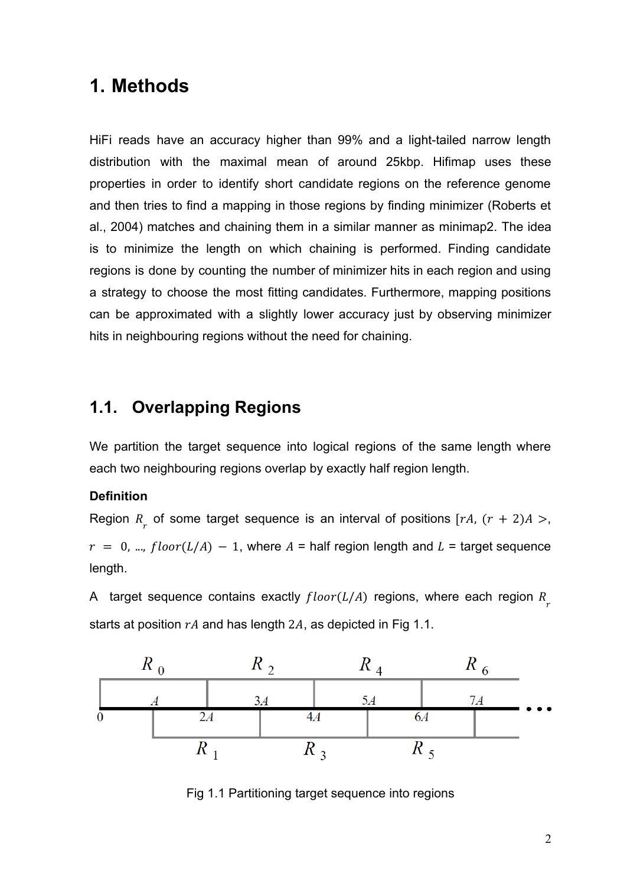## <span id="page-3-0"></span>**1. Methods**

HiFi reads have an accuracy higher than 99% and a light-tailed narrow length distribution with the maximal mean of around 25kbp. Hifimap uses these properties in order to identify short candidate regions on the reference genome and then tries to find a mapping in those regions by finding minimizer (Roberts et al., 2004) matches and chaining them in a similar manner as minimap2. The idea is to minimize the length on which chaining is performed. Finding candidate regions is done by counting the number of minimizer hits in each region and using a strategy to choose the most fitting candidates. Furthermore, mapping positions can be approximated with a slightly lower accuracy just by observing minimizer hits in neighbouring regions without the need for chaining.

### <span id="page-3-1"></span>**1.1. Overlapping Regions**

We partition the target sequence into logical regions of the same length where each two neighbouring regions overlap by exactly half region length.

#### **Definition**

Region  $R_{r}$  of some target sequence is an interval of positions [rA,  $(r + 2)A > r$  $r = 0$ , ...,  $floor(L/A) - 1$ , where  $A =$  half region length and  $L =$  target sequence length.

A target sequence contains exactly  $floor(L/A)$  regions, where each region  $R_{r}$ starts at position  $rA$  and has length 2A, as depicted in Fig 1.1.



Fig 1.1 Partitioning target sequence into regions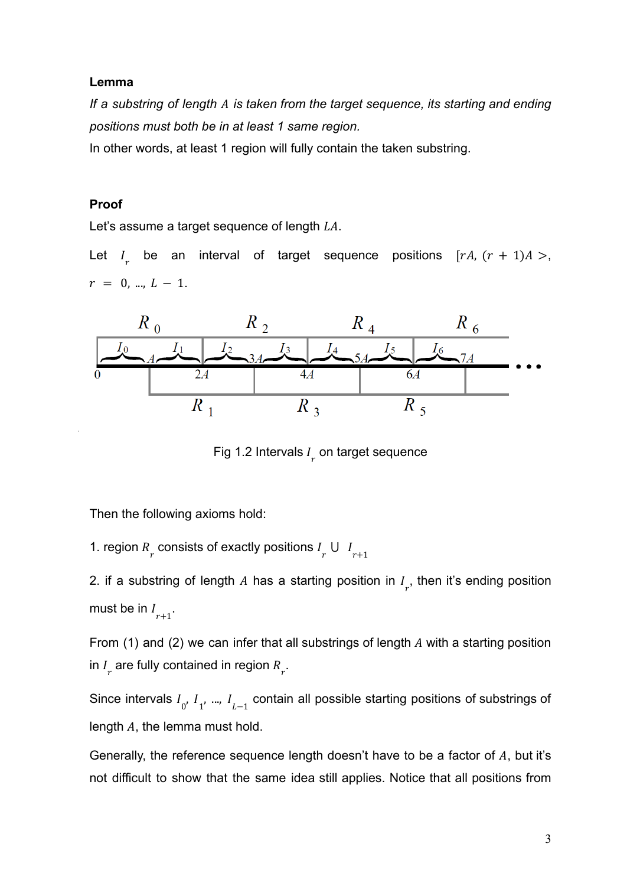#### **Lemma**

*If a substring of length is taken from the target sequence, its starting and ending positions must both be in at least 1 same region.*

In other words, at least 1 region will fully contain the taken substring.

#### **Proof**

Let's assume a target sequence of length  $LA$ .

Let  $I_r$  be an interval of target sequence positions  $[rA, (r + 1)A >$ ,  $r = 0, ..., L - 1.$ 



Fig 1.2 Intervals  $I_r$  on target sequence

Then the following axioms hold:

1. region  $R_r$  consists of exactly positions  $I_r \cup I_{r+1}$ 

2. if a substring of length A has a starting position in  $I_{r}$ , then it's ending position must be in  $I_{r+1}$ .

From (1) and (2) we can infer that all substrings of length  $A$  with a starting position in  $I_{r}$  are fully contained in region  $R_{r}$ .

Since intervals  $I_{0'}$   $I_{1'}$  ...,  $I_{L-1}$  contain all possible starting positions of substrings of length  $A$ , the lemma must hold.

Generally, the reference sequence length doesn't have to be a factor of  $A$ , but it's not difficult to show that the same idea still applies. Notice that all positions from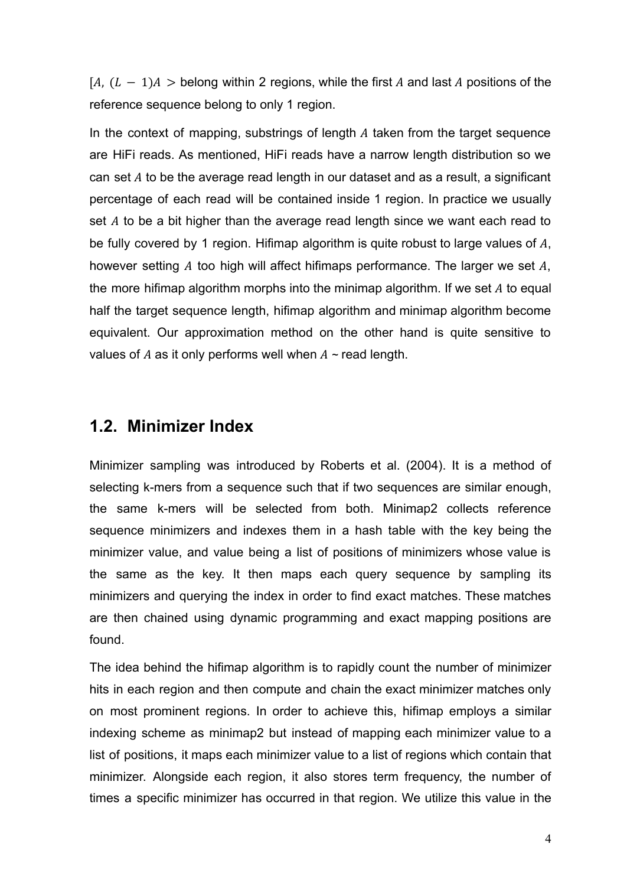$[A, (L - 1)A >$  belong within 2 regions, while the first A and last A positions of the reference sequence belong to only 1 region.

In the context of mapping, substrings of length  $A$  taken from the target sequence are HiFi reads. As mentioned, HiFi reads have a narrow length distribution so we can set  $A$  to be the average read length in our dataset and as a result, a significant percentage of each read will be contained inside 1 region. In practice we usually set  $A$  to be a bit higher than the average read length since we want each read to be fully covered by 1 region. Hifimap algorithm is quite robust to large values of  $A$ , however setting  $A$  too high will affect hifimaps performance. The larger we set  $A$ , the more hifimap algorithm morphs into the minimap algorithm. If we set  $A$  to equal half the target sequence length, hifimap algorithm and minimap algorithm become equivalent. Our approximation method on the other hand is quite sensitive to values of  $A$  as it only performs well when  $A \sim$  read length.

### <span id="page-5-0"></span>**1.2. Minimizer Index**

Minimizer sampling was introduced by Roberts et al. (2004). It is a method of selecting k-mers from a sequence such that if two sequences are similar enough, the same k-mers will be selected from both. Minimap2 collects reference sequence minimizers and indexes them in a hash table with the key being the minimizer value, and value being a list of positions of minimizers whose value is the same as the key. It then maps each query sequence by sampling its minimizers and querying the index in order to find exact matches. These matches are then chained using dynamic programming and exact mapping positions are found.

The idea behind the hifimap algorithm is to rapidly count the number of minimizer hits in each region and then compute and chain the exact minimizer matches only on most prominent regions. In order to achieve this, hifimap employs a similar indexing scheme as minimap2 but instead of mapping each minimizer value to a list of positions, it maps each minimizer value to a list of regions which contain that minimizer. Alongside each region, it also stores term frequency, the number of times a specific minimizer has occurred in that region. We utilize this value in the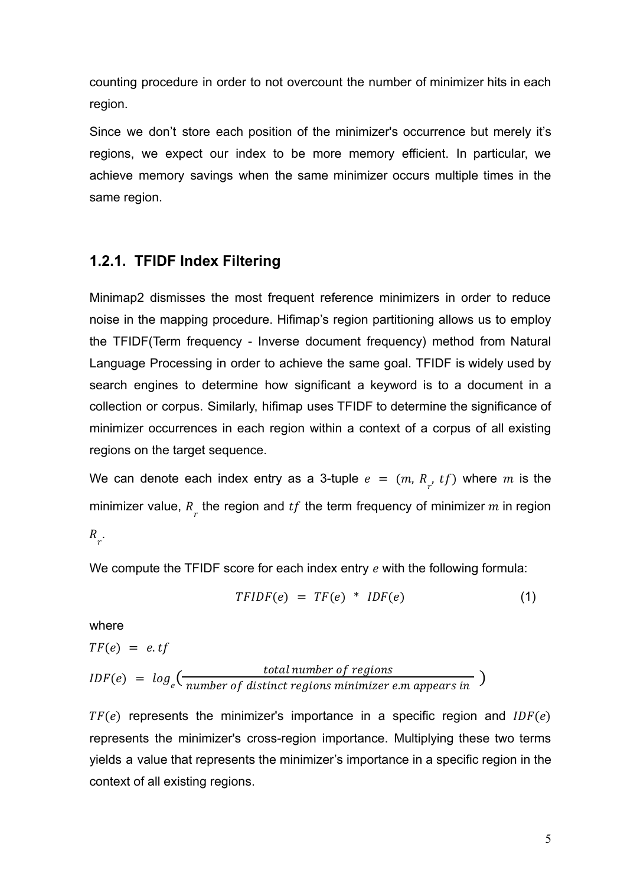counting procedure in order to not overcount the number of minimizer hits in each region.

Since we don't store each position of the minimizer's occurrence but merely it's regions, we expect our index to be more memory efficient. In particular, we achieve memory savings when the same minimizer occurs multiple times in the same region.

#### <span id="page-6-0"></span>**1.2.1. TFIDF Index Filtering**

Minimap2 dismisses the most frequent reference minimizers in order to reduce noise in the mapping procedure. Hifimap's region partitioning allows us to employ the TFIDF(Term frequency - Inverse document frequency) method from Natural Language Processing in order to achieve the same goal. TFIDF is widely used by search engines to determine how significant a keyword is to a document in a collection or corpus. Similarly, hifimap uses TFIDF to determine the significance of minimizer occurrences in each region within a context of a corpus of all existing regions on the target sequence.

We can denote each index entry as a 3-tuple  $e = (m, R_{r}, tf)$  where m is the minimizer value,  $R_{\overline{r}}$  the region and  $tf$  the term frequency of minimizer  $m$  in region

 $R_{r}$ .

We compute the TFIDF score for each index entry  $e$  with the following formula:

$$
TFIDF(e) = TF(e) * IDF(e)
$$
 (1)

where

$$
TF(e) = e. \text{tf}
$$
\n
$$
IDF(e) = \log_e\left(\frac{\text{total number of regions}}{\text{number of distinct regions } \text{minimize } e \text{.} \text{m appears in}}\right)
$$

 $TF(e)$  represents the minimizer's importance in a specific region and  $IDF(e)$ represents the minimizer's cross-region importance. Multiplying these two terms yields a value that represents the minimizer's importance in a specific region in the context of all existing regions.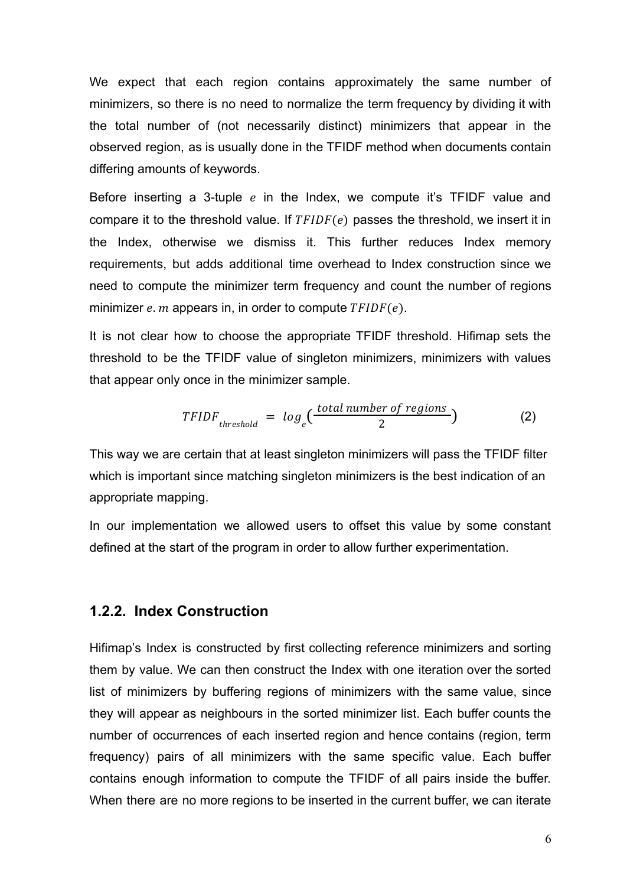We expect that each region contains approximately the same number of minimizers, so there is no need to normalize the term frequency by dividing it with the total number of (not necessarily distinct) minimizers that appear in the observed region, as is usually done in the TFIDF method when documents contain differing amounts of keywords.

Before inserting a 3-tuple  $e$  in the Index, we compute it's TFIDF value and compare it to the threshold value. If  $TFIDF(e)$  passes the threshold, we insert it in the Index, otherwise we dismiss it. This further reduces Index memory requirements, but adds additional time overhead to Index construction since we need to compute the minimizer term frequency and count the number of regions minimizer  $e$ .  $m$  appears in, in order to compute  $TFIDF(e)$ .

It is not clear how to choose the appropriate TFIDF threshold. Hifimap sets the threshold to be the TFIDF value of singleton minimizers, minimizers with values that appear only once in the minimizer sample.

$$
TFIDF_{threshold} = log_e(\frac{total\ number\ of\ regions}{2})
$$
 (2)

This way we are certain that at least singleton minimizers will pass the TFIDF filter which is important since matching singleton minimizers is the best indication of an appropriate mapping.

In our implementation we allowed users to offset this value by some constant defined at the start of the program in order to allow further experimentation.

#### <span id="page-7-0"></span>**1.2.2. Index Construction**

Hifimap's Index is constructed by first collecting reference minimizers and sorting them by value. We can then construct the Index with one iteration over the sorted list of minimizers by buffering regions of minimizers with the same value, since they will appear as neighbours in the sorted minimizer list. Each buffer counts the number of occurrences of each inserted region and hence contains (region, term frequency) pairs of all minimizers with the same specific value. Each buffer contains enough information to compute the TFIDF of all pairs inside the buffer. When there are no more regions to be inserted in the current buffer, we can iterate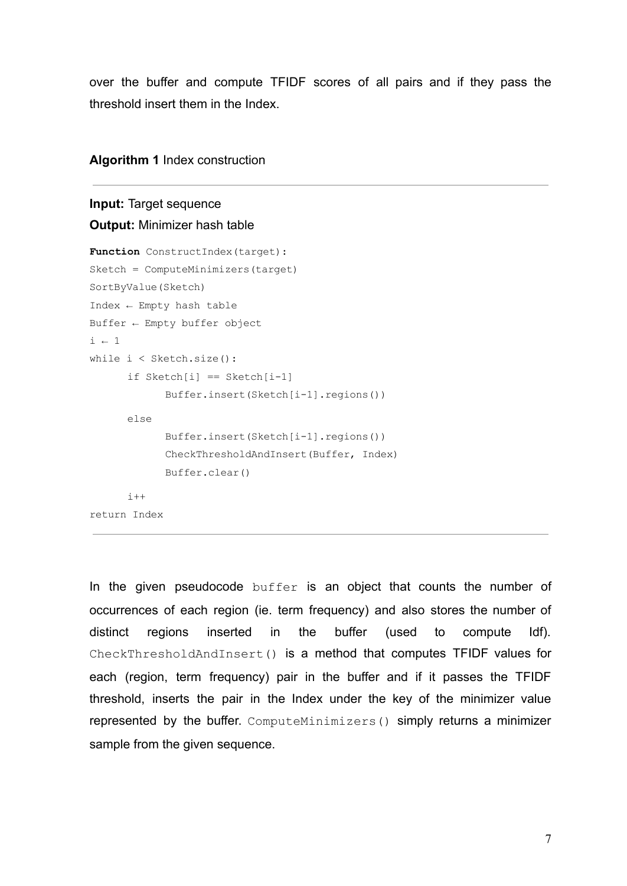over the buffer and compute TFIDF scores of all pairs and if they pass the threshold insert them in the Index.

#### **Algorithm 1** Index construction

## **Input:** Target sequence

```
Output: Minimizer hash table
```

```
Function ConstructIndex(target):
Sketch = ComputeMinimizers(target)
SortByValue(Sketch)
Index ← Empty hash table
Buffer ← Empty buffer object
i + 1while i < Sketch.size():
      if Sketch[i] == Sketch[i-1]Buffer.insert(Sketch[i-1].regions())
      else
            Buffer.insert(Sketch[i-1].regions())
            CheckThresholdAndInsert(Buffer, Index)
            Buffer.clear()
      i++return Index
```
In the given pseudocode buffer is an object that counts the number of occurrences of each region (ie. term frequency) and also stores the number of distinct regions inserted in the buffer (used to compute Idf). CheckThresholdAndInsert() is a method that computes TFIDF values for each (region, term frequency) pair in the buffer and if it passes the TFIDF threshold, inserts the pair in the Index under the key of the minimizer value represented by the buffer. ComputeMinimizers() simply returns a minimizer sample from the given sequence.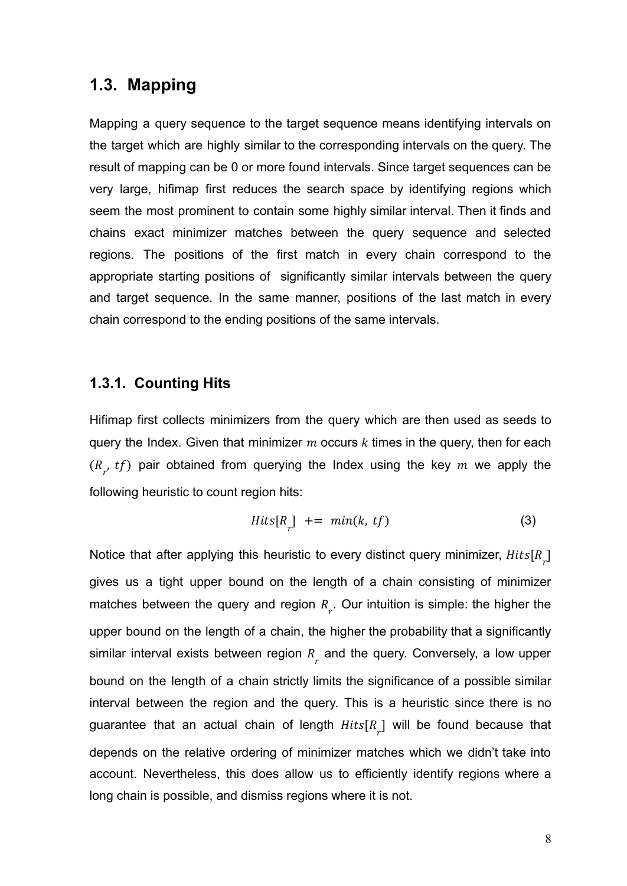### <span id="page-9-0"></span>**1.3. Mapping**

Mapping a query sequence to the target sequence means identifying intervals on the target which are highly similar to the corresponding intervals on the query. The result of mapping can be 0 or more found intervals. Since target sequences can be very large, hifimap first reduces the search space by identifying regions which seem the most prominent to contain some highly similar interval. Then it finds and chains exact minimizer matches between the query sequence and selected regions. The positions of the first match in every chain correspond to the appropriate starting positions of significantly similar intervals between the query and target sequence. In the same manner, positions of the last match in every chain correspond to the ending positions of the same intervals.

#### <span id="page-9-1"></span>**1.3.1. Counting Hits**

Hifimap first collects minimizers from the query which are then used as seeds to query the Index. Given that minimizer  $m$  occurs  $k$  times in the query, then for each  $(R_{r}, tf)$  pair obtained from querying the Index using the key m we apply the following heuristic to count region hits:

$$
Hits[R_r] += min(k, tf)
$$
 (3)

<span id="page-9-2"></span>Notice that after applying this heuristic to every distinct query minimizer,  $\textit{Hits}[R_{_{\mathcal{T}}}]$ gives us a tight upper bound on the length of a chain consisting of minimizer matches between the query and region  $R_{\overline{r}}$ . Our intuition is simple: the higher the upper bound on the length of a chain, the higher the probability that a significantly similar interval exists between region  $R_{\overline{r}}$  and the query. Conversely, a low upper bound on the length of a chain strictly limits the significance of a possible similar interval between the region and the query. This is a heuristic since there is no guarantee that an actual chain of length  $Hits[R_{_{r}}]$  will be found because that depends on the relative ordering of minimizer matches which we didn't take into account. Nevertheless, this does allow us to efficiently identify regions where a long chain is possible, and dismiss regions where it is not.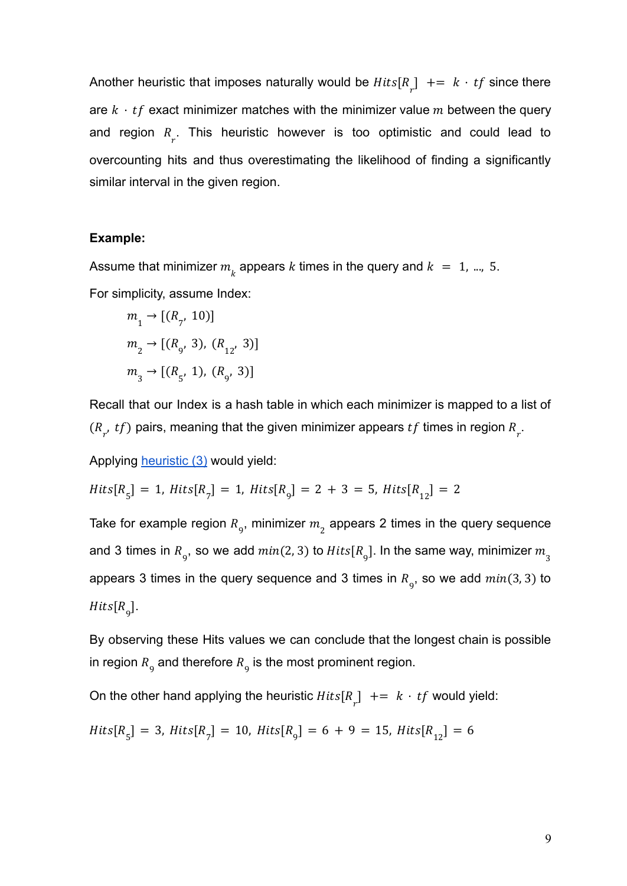Another heuristic that imposes naturally would be  $Hits[R_r]$  +=  $k \cdot tf$  since there are  $k \cdot tf$  exact minimizer matches with the minimizer value m between the query and region  $R_{r}$ . This heuristic however is too optimistic and could lead to overcounting hits and thus overestimating the likelihood of finding a significantly similar interval in the given region.

#### **Example:**

Assume that minimizer  $m_{\stackrel{.}{k}}$  appears  $k$  times in the query and  $k~=~1,$  ..., 5. For simplicity, assume Index:

$$
m_1 \rightarrow [(R_{7'} 10)]
$$
  
\n
$$
m_2 \rightarrow [(R_{9'} 3), (R_{12'} 3)]
$$
  
\n
$$
m_3 \rightarrow [(R_{5'} 1), (R_{9'} 3)]
$$

Recall that our Index is a hash table in which each minimizer is mapped to a list of  $(R_{r}, tf)$  pairs, meaning that the given minimizer appears  $tf$  times in region  $R_{r}$ .

Applying **[heuristic \(3\)](#page-9-2)** would yield:

$$
Hits[R5] = 1, \, Hits[R7] = 1, \, Hits[R9] = 2 + 3 = 5, \, Hits[R12] = 2
$$

Take for example region  $R_{\overline{9}}$ , minimizer  $m_{\overline{2}}$  appears 2 times in the query sequence and 3 times in  $R_{\rm g}$ , so we add  $min(2,3)$  to  $Hits[R_{\rm g}]$ . In the same way, minimizer  $m_{\rm g}$ appears 3 times in the query sequence and 3 times in  $R_g$ , so we add  $min(3, 3)$  to  $Hits[R_{9}].$ 

By observing these Hits values we can conclude that the longest chain is possible in region  $R_{\overline{9}}$  and therefore  $R_{\overline{9}}$  is the most prominent region.

On the other hand applying the heuristic  $Hits[R_r]$  +=  $k \cdot tf$  would yield:

$$
Hits[R5] = 3, \, Hits[R7] = 10, \, Hits[R9] = 6 + 9 = 15, \, Hits[R12] = 6
$$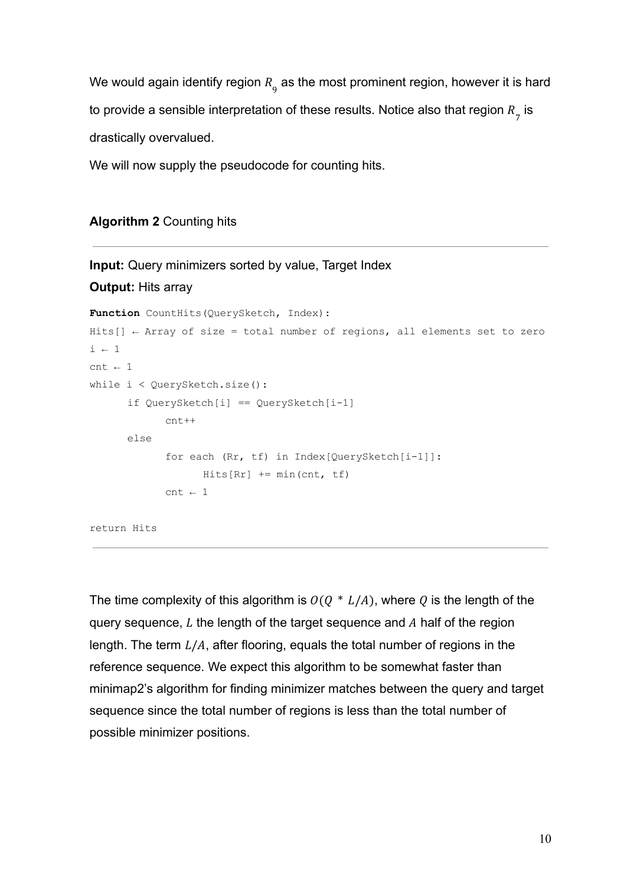We would again identify region  $R_{_9}$  as the most prominent region, however it is hard to provide a sensible interpretation of these results. Notice also that region  $R_{_{\cal Z}}$  is drastically overvalued.

We will now supply the pseudocode for counting hits.

#### **Algorithm 2** Counting hits

```
Input: Query minimizers sorted by value, Target Index
Output: Hits array
Function CountHits(QuerySketch, Index):
Hits[] \leftarrow Array of size = total number of regions, all elements set to zero
i \leftarrow 1cnt \leftarrow 1while i < QuerySketch.size():
       if QuerySketch[i] == QuerySketch[i-1]
              cnt++
       else
              for each (Rr, tf) in Index[QuerySketch[i-1]]:
                    Hits[RT] += min(cnt, tf)
              cnt \leftarrow 1return Hits
```
The time complexity of this algorithm is  $O(Q * L/A)$ , where Q is the length of the query sequence,  $L$  the length of the target sequence and  $A$  half of the region length. The term  $L/A$ , after flooring, equals the total number of regions in the reference sequence. We expect this algorithm to be somewhat faster than minimap2's algorithm for finding minimizer matches between the query and target sequence since the total number of regions is less than the total number of possible minimizer positions.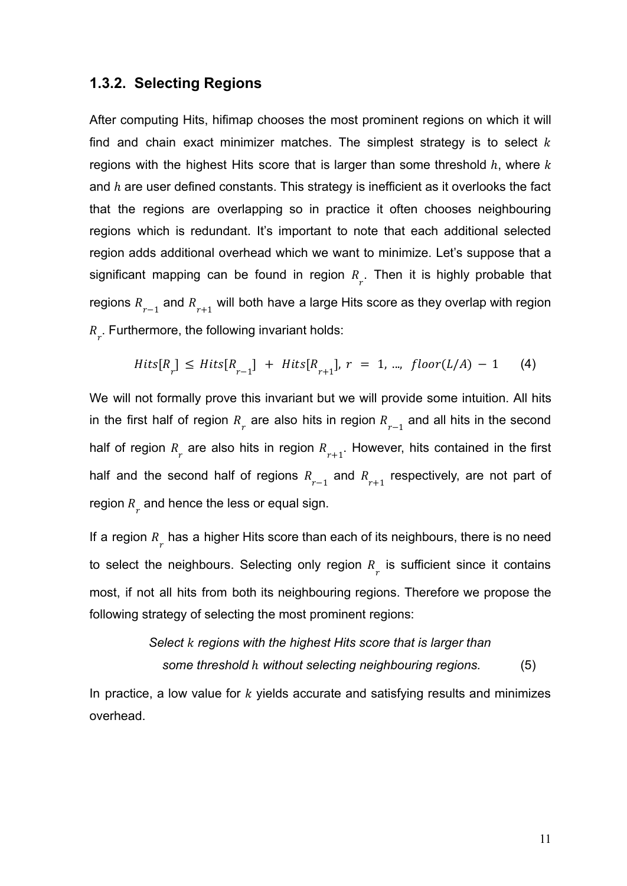#### <span id="page-12-0"></span>**1.3.2. Selecting Regions**

After computing Hits, hifimap chooses the most prominent regions on which it will find and chain exact minimizer matches. The simplest strategy is to select  $k$ regions with the highest Hits score that is larger than some threshold  $h$ , where  $k$ and  $h$  are user defined constants. This strategy is inefficient as it overlooks the fact that the regions are overlapping so in practice it often chooses neighbouring regions which is redundant. It's important to note that each additional selected region adds additional overhead which we want to minimize. Let's suppose that a significant mapping can be found in region  $R_{r}$ . Then it is highly probable that regions  $R_{r-1}^{\phantom{r}}$  and  $R_{r+1}^{\phantom{r}}$  will both have a large Hits score as they overlap with region  $R_{r}$ . Furthermore, the following invariant holds:

$$
Hits[R_r] \leq Hits[R_{r-1}] + Hits[R_{r+1}], r = 1, ..., \, floor(L/A) - 1 \tag{4}
$$

We will not formally prove this invariant but we will provide some intuition. All hits in the first half of region  $R_{r}$  are also hits in region  $R_{r-1}$  and all hits in the second half of region  $R_{\substack{r}}$  are also hits in region  $R_{r+1}^{\phantom{\dag}}$ . However, hits contained in the first half and the second half of regions  $R_{r-1}$  and  $R_{r+1}$  respectively, are not part of region  $R_{\stackrel{.}{r}}$  and hence the less or equal sign.

If a region  $R_{\mu}$  has a higher Hits score than each of its neighbours, there is no need to select the neighbours. Selecting only region  $R_{\overline{r}}$  is sufficient since it contains most, if not all hits from both its neighbouring regions. Therefore we propose the following strategy of selecting the most prominent regions:

### *Select regions with the highest Hits score that is larger than some threshold h without selecting neighbouring regions.* (5)

<span id="page-12-1"></span>In practice, a low value for  $k$  yields accurate and satisfying results and minimizes overhead.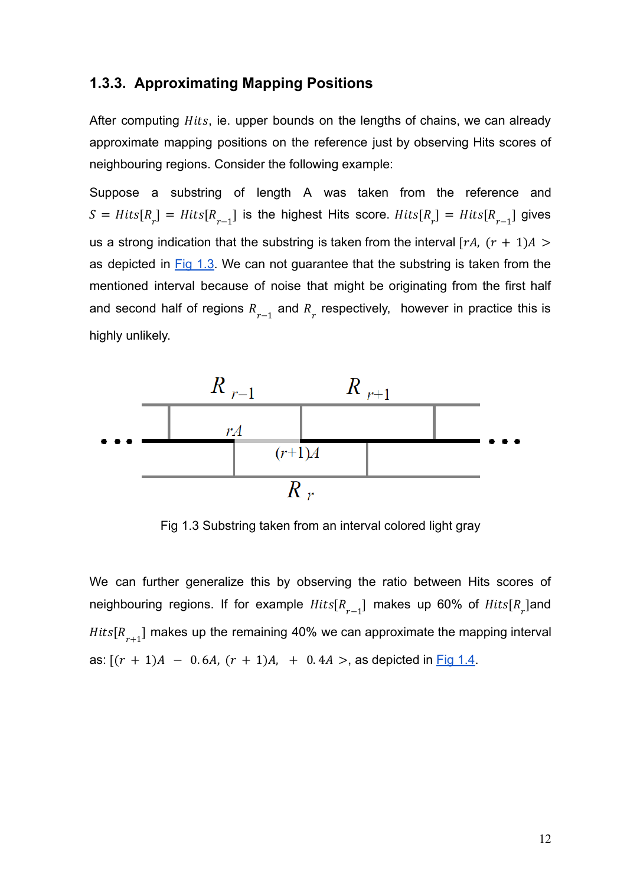#### <span id="page-13-0"></span>**1.3.3. Approximating Mapping Positions**

After computing *Hits*, ie. upper bounds on the lengths of chains, we can already approximate mapping positions on the reference just by observing Hits scores of neighbouring regions. Consider the following example:

Suppose a substring of length A was taken from the reference and  $S = Hits[R_r] = Hits[R_{r-1}]$  is the highest Hits score.  $Hits[R_r] = Hits[R_{r-1}]$  gives us a strong indication that the substring is taken from the interval  $[rA, (r + 1)A >$ as depicted in Fig [1.3.](#page-13-1) We can not guarantee that the substring is taken from the mentioned interval because of noise that might be originating from the first half and second half of regions  $R_{r-1}$  and  $R_r$  respectively, however in practice this is highly unlikely.



Fig 1.3 Substring taken from an interval colored light gray

<span id="page-13-1"></span>We can further generalize this by observing the ratio between Hits scores of neighbouring regions. If for example  $Hits[R_{r-1}]$  makes up 60% of  $Hits[R_r]$ and  $Hits[R_{r+1}]$  makes up the remaining 40% we can approximate the mapping interval as:  $[(r + 1)A - 0.6A, (r + 1)A, + 0.4A >$ , as depicted in [Fig 1.4.](#page-14-0)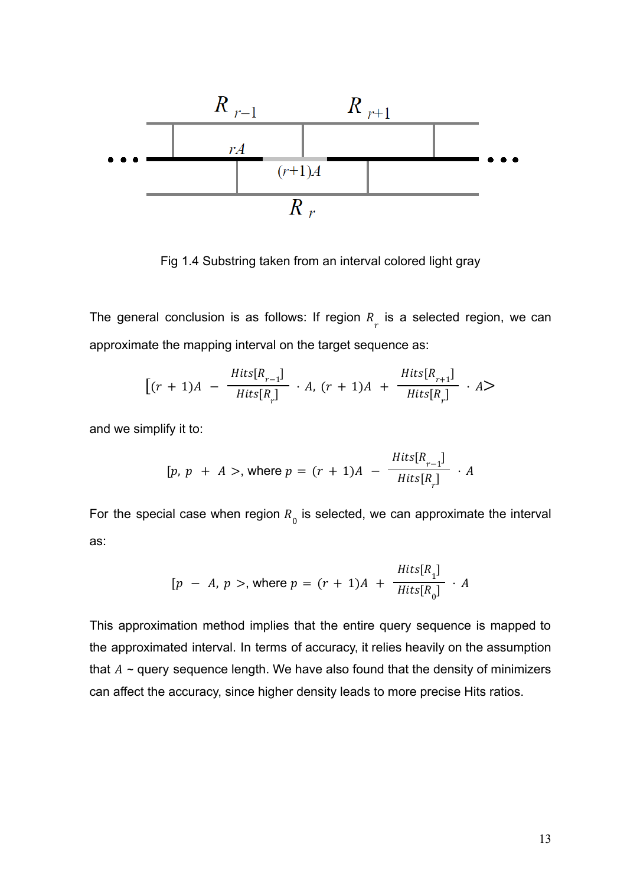

Fig 1.4 Substring taken from an interval colored light gray

<span id="page-14-0"></span>The general conclusion is as follows: If region  $R_{\overline{r}}$  is a selected region, we can approximate the mapping interval on the target sequence as:

$$
\left[ (r+1)A - \frac{Hits[R_{r-1}]}{Hits[R_r]} \cdot A, (r+1)A + \frac{Hits[R_{r+1}]}{Hits[R_r]} \cdot A \right]
$$

and we simplify it to:

$$
[p, p + A >, \text{ where } p = (r + 1)A - \frac{Hits[R_{r-1}]}{Hits[R_r]} \cdot A
$$

For the special case when region  $R_{\overline{0}}$  is selected, we can approximate the interval as:

$$
[p - A, p >, \text{ where } p = (r + 1)A + \frac{Hits[R_1]}{Hits[R_0]} \cdot A
$$

This approximation method implies that the entire query sequence is mapped to the approximated interval. In terms of accuracy, it relies heavily on the assumption that  $A \sim$  query sequence length. We have also found that the density of minimizers can affect the accuracy, since higher density leads to more precise Hits ratios.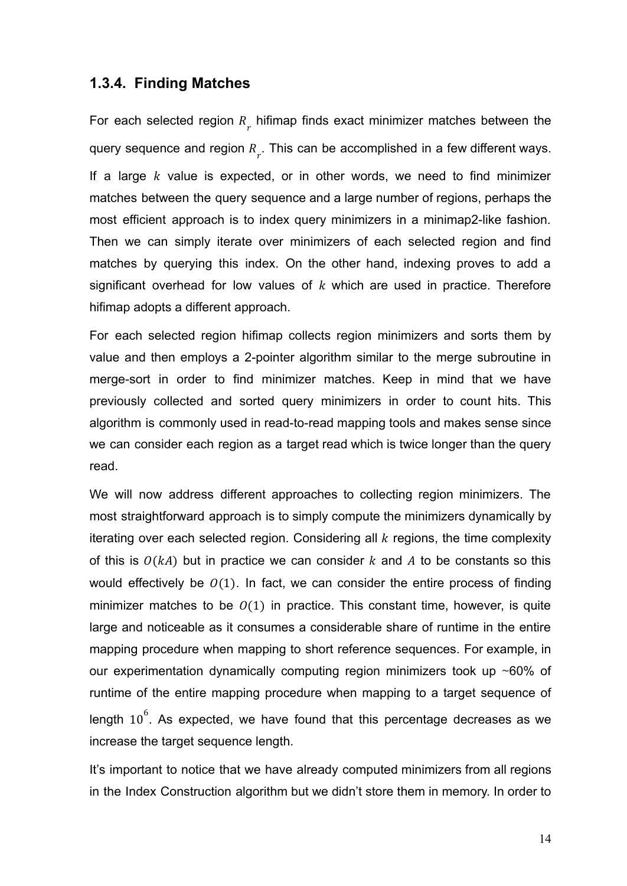#### <span id="page-15-0"></span>**1.3.4. Finding Matches**

For each selected region  $R_{\text{r}}$  hifimap finds exact minimizer matches between the query sequence and region  $R_{\overline{r}}$ . This can be accomplished in a few different ways. If a large  $k$  value is expected, or in other words, we need to find minimizer matches between the query sequence and a large number of regions, perhaps the most efficient approach is to index query minimizers in a minimap2-like fashion. Then we can simply iterate over minimizers of each selected region and find matches by querying this index. On the other hand, indexing proves to add a significant overhead for low values of  $k$  which are used in practice. Therefore hifimap adopts a different approach.

For each selected region hifimap collects region minimizers and sorts them by value and then employs a 2-pointer algorithm similar to the merge subroutine in merge-sort in order to find minimizer matches. Keep in mind that we have previously collected and sorted query minimizers in order to count hits. This algorithm is commonly used in read-to-read mapping tools and makes sense since we can consider each region as a target read which is twice longer than the query read.

We will now address different approaches to collecting region minimizers. The most straightforward approach is to simply compute the minimizers dynamically by iterating over each selected region. Considering all  $k$  regions, the time complexity of this is  $O(kA)$  but in practice we can consider  $k$  and  $A$  to be constants so this would effectively be  $(0)(1)$ . In fact, we can consider the entire process of finding minimizer matches to be  $O(1)$  in practice. This constant time, however, is quite large and noticeable as it consumes a considerable share of runtime in the entire mapping procedure when mapping to short reference sequences. For example, in our experimentation dynamically computing region minimizers took up ~60% of runtime of the entire mapping procedure when mapping to a target sequence of length  $10^6$ . As expected, we have found that this percentage decreases as we increase the target sequence length.

It's important to notice that we have already computed minimizers from all regions in the Index Construction algorithm but we didn't store them in memory. In order to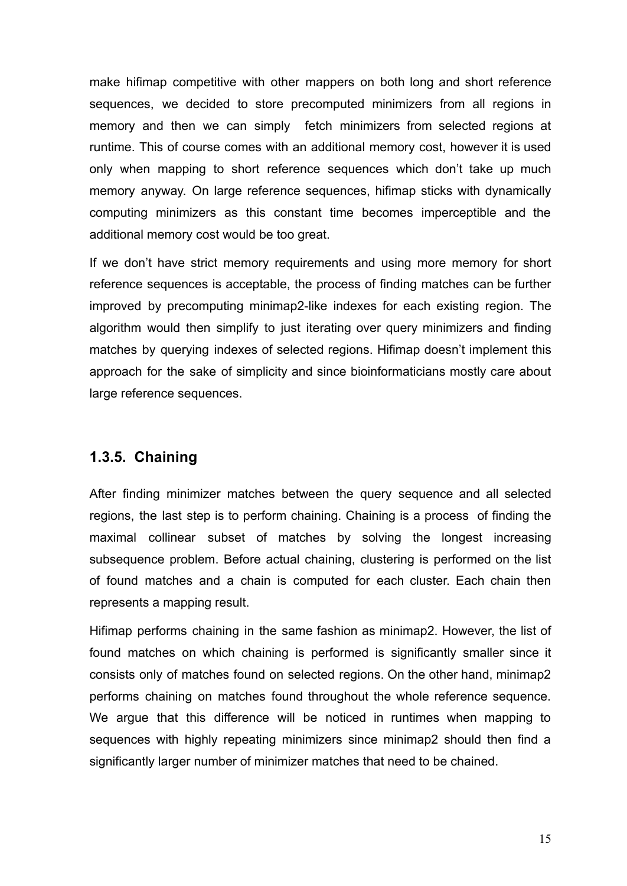make hifimap competitive with other mappers on both long and short reference sequences, we decided to store precomputed minimizers from all regions in memory and then we can simply fetch minimizers from selected regions at runtime. This of course comes with an additional memory cost, however it is used only when mapping to short reference sequences which don't take up much memory anyway. On large reference sequences, hifimap sticks with dynamically computing minimizers as this constant time becomes imperceptible and the additional memory cost would be too great.

If we don't have strict memory requirements and using more memory for short reference sequences is acceptable, the process of finding matches can be further improved by precomputing minimap2-like indexes for each existing region. The algorithm would then simplify to just iterating over query minimizers and finding matches by querying indexes of selected regions. Hifimap doesn't implement this approach for the sake of simplicity and since bioinformaticians mostly care about large reference sequences.

#### <span id="page-16-0"></span>**1.3.5. Chaining**

After finding minimizer matches between the query sequence and all selected regions, the last step is to perform chaining. Chaining is a process of finding the maximal collinear subset of matches by solving the longest increasing subsequence problem. Before actual chaining, clustering is performed on the list of found matches and a chain is computed for each cluster. Each chain then represents a mapping result.

Hifimap performs chaining in the same fashion as minimap2. However, the list of found matches on which chaining is performed is significantly smaller since it consists only of matches found on selected regions. On the other hand, minimap2 performs chaining on matches found throughout the whole reference sequence. We argue that this difference will be noticed in runtimes when mapping to sequences with highly repeating minimizers since minimap2 should then find a significantly larger number of minimizer matches that need to be chained.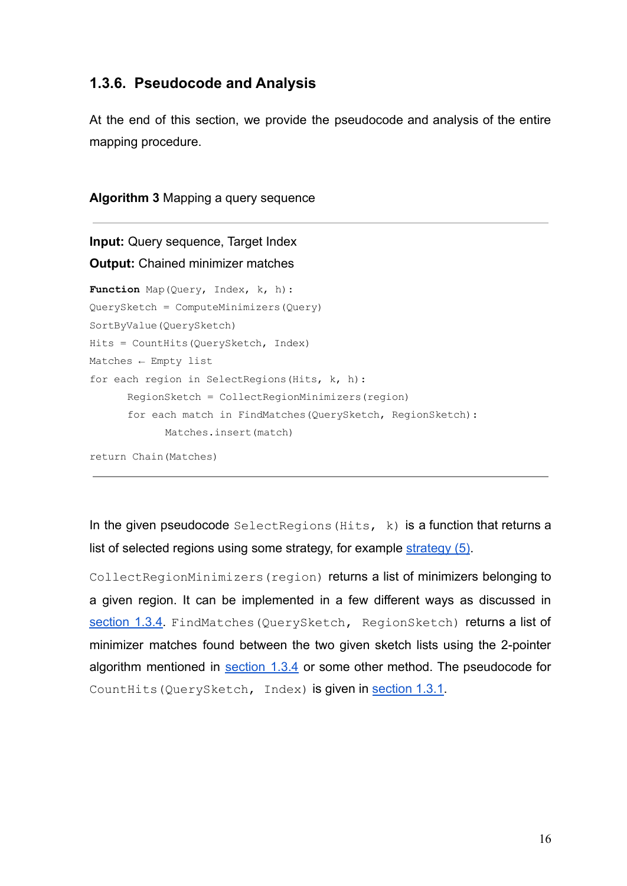#### <span id="page-17-0"></span>**1.3.6. Pseudocode and Analysis**

At the end of this section, we provide the pseudocode and analysis of the entire mapping procedure.

```
Algorithm 3 Mapping a query sequence
```

```
Input: Query sequence, Target Index
Output: Chained minimizer matches
Function Map(Query, Index, k, h):
QuerySketch = ComputeMinimizers(Query)
SortByValue(QuerySketch)
Hits = CountHits(QuerySketch, Index)
Matches \leftarrow Empty listfor each region in SelectRegions (Hits, k, h):
      RegionSketch = CollectRegionMinimizers(region)
      for each match in FindMatches(QuerySketch, RegionSketch):
            Matches.insert(match)
```
return Chain(Matches)

In the given pseudocode  $\text{SelectRegion}(Hits, k)$  is a function that returns a list of selected regions using some strategy, for example [strategy \(5\).](#page-12-1)

CollectRegionMinimizers(region) returns a list of minimizers belonging to a given region. It can be implemented in a few different ways as discussed in [section](#page-15-0) 1.3.4. FindMatches (QuerySketch, RegionSketch) returns a list of minimizer matches found between the two given sketch lists using the 2-pointer algorithm mentioned in [section](#page-15-0) 1.3.4 or some other method. The pseudocode for CountHits(QuerySketch, Index) is given in [section](#page-9-1) 1.3.1.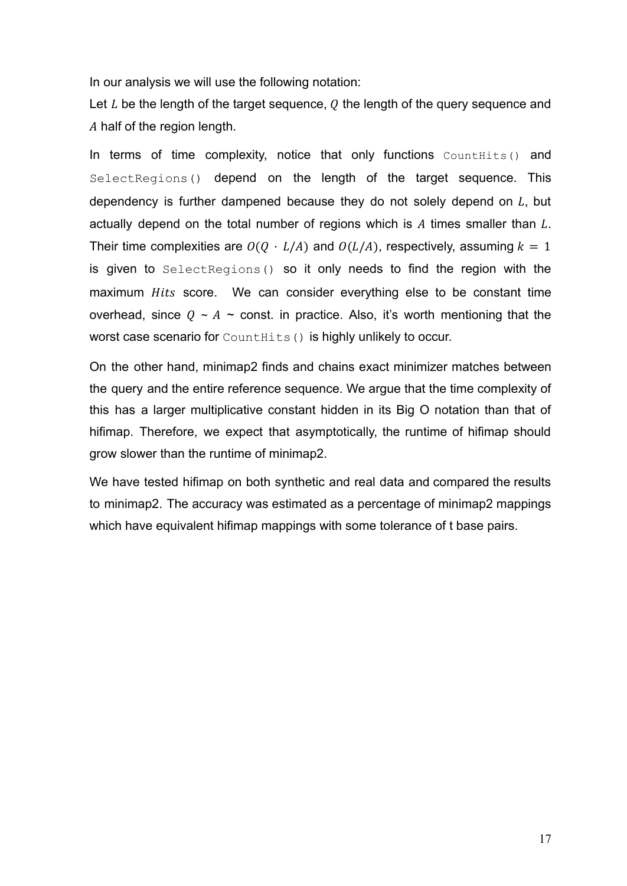In our analysis we will use the following notation:

Let  $L$  be the length of the target sequence,  $Q$  the length of the query sequence and A half of the region length.

In terms of time complexity, notice that only functions CountHits() and SelectRegions() depend on the length of the target sequence. This dependency is further dampened because they do not solely depend on  $L$ , but actually depend on the total number of regions which is  $A$  times smaller than  $L$ . Their time complexities are  $O(Q \cdot L/A)$  and  $O(L/A)$ , respectively, assuming  $k = 1$ is given to SelectRegions() so it only needs to find the region with the maximum *Hits* score. We can consider everything else to be constant time overhead, since  $Q \sim A \sim$  const. in practice. Also, it's worth mentioning that the worst case scenario for CountHits() is highly unlikely to occur.

On the other hand, minimap2 finds and chains exact minimizer matches between the query and the entire reference sequence. We argue that the time complexity of this has a larger multiplicative constant hidden in its Big O notation than that of hifimap. Therefore, we expect that asymptotically, the runtime of hifimap should grow slower than the runtime of minimap2.

We have tested hifimap on both synthetic and real data and compared the results to minimap2. The accuracy was estimated as a percentage of minimap2 mappings which have equivalent hifimap mappings with some tolerance of t base pairs.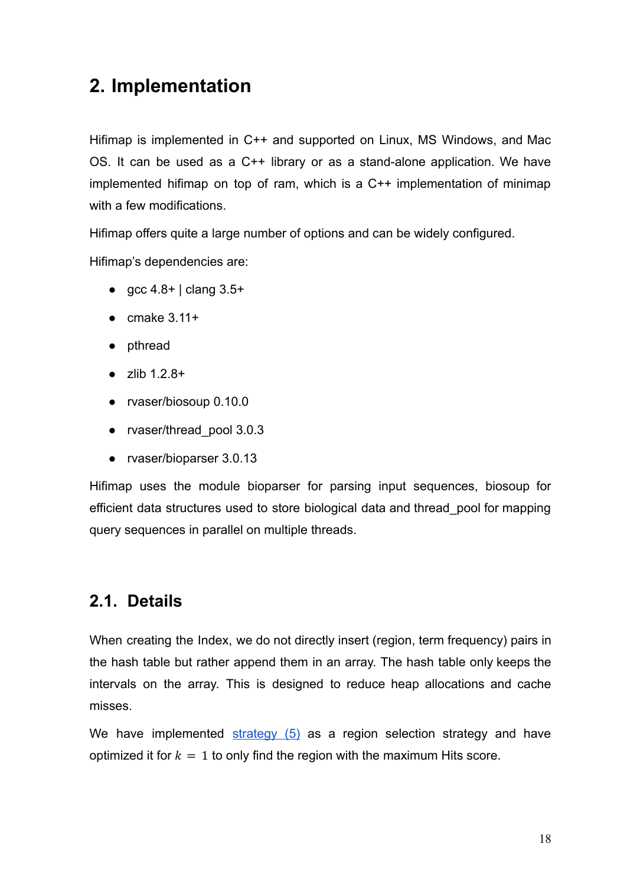## <span id="page-19-0"></span>**2. Implementation**

Hifimap is implemented in C++ and supported on Linux, MS Windows, and Mac OS. It can be used as a C++ library or as a stand-alone application. We have implemented hifimap on top of ram, which is a C++ implementation of minimap with a few modifications.

Hifimap offers quite a large number of options and can be widely configured.

Hifimap's dependencies are:

- $\int$  gcc 4.8+ | clang 3.5+
- $\bullet$  cmake 3.11+
- pthread
- $\bullet$  zlib 1.2.8+
- rvaser/biosoup 0.10.0
- rvaser/thread\_pool 3.0.3
- rvaser/bioparser 3.0.13

Hifimap uses the module bioparser for parsing input sequences, biosoup for efficient data structures used to store biological data and thread\_pool for mapping query sequences in parallel on multiple threads.

### <span id="page-19-1"></span>**2.1. Details**

When creating the Index, we do not directly insert (region, term frequency) pairs in the hash table but rather append them in an array. The hash table only keeps the intervals on the array. This is designed to reduce heap allocations and cache misses.

We have implemented [strategy](#page-12-1) (5) as a region selection strategy and have optimized it for  $k = 1$  to only find the region with the maximum Hits score.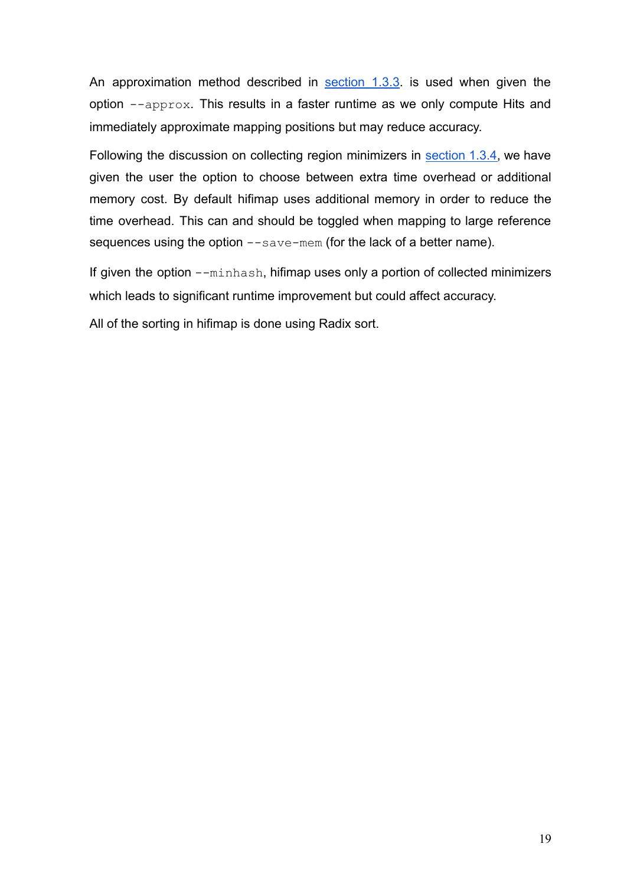An approximation method described in [section](#page-13-0) 1.3.3. is used when given the option --approx. This results in a faster runtime as we only compute Hits and immediately approximate mapping positions but may reduce accuracy.

Following the discussion on collecting region minimizers in [section](#page-15-0) 1.3.4, we have given the user the option to choose between extra time overhead or additional memory cost. By default hifimap uses additional memory in order to reduce the time overhead. This can and should be toggled when mapping to large reference sequences using the option --save-mem (for the lack of a better name).

If given the option  $--$ minhash, hifimap uses only a portion of collected minimizers which leads to significant runtime improvement but could affect accuracy.

All of the sorting in hifimap is done using Radix sort.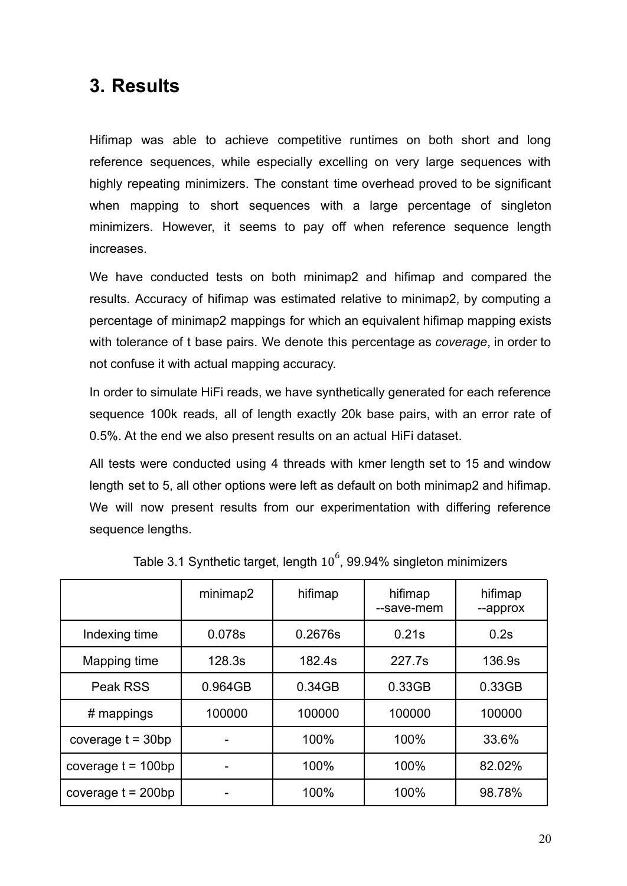## <span id="page-21-0"></span>**3. Results**

Hifimap was able to achieve competitive runtimes on both short and long reference sequences, while especially excelling on very large sequences with highly repeating minimizers. The constant time overhead proved to be significant when mapping to short sequences with a large percentage of singleton minimizers. However, it seems to pay off when reference sequence length increases.

We have conducted tests on both minimap2 and hifimap and compared the results. Accuracy of hifimap was estimated relative to minimap2, by computing a percentage of minimap2 mappings for which an equivalent hifimap mapping exists with tolerance of t base pairs. We denote this percentage as *coverage*, in order to not confuse it with actual mapping accuracy.

In order to simulate HiFi reads, we have synthetically generated for each reference sequence 100k reads, all of length exactly 20k base pairs, with an error rate of 0.5%. At the end we also present results on an actual HiFi dataset.

All tests were conducted using 4 threads with kmer length set to 15 and window length set to 5, all other options were left as default on both minimap2 and hifimap. We will now present results from our experimentation with differing reference sequence lengths.

|                      | minimap2 | hifimap | hifimap<br>--save-mem | hifimap<br>--approx |
|----------------------|----------|---------|-----------------------|---------------------|
| Indexing time        | 0.078s   | 0.2676s | 0.21s                 | 0.2s                |
| Mapping time         | 128.3s   | 182.4s  | 227.7s                | 136.9s              |
| Peak RSS             | 0.964GB  | 0.34GB  | 0.33GB                | 0.33GB              |
| $#$ mappings         | 100000   | 100000  | 100000                | 100000              |
| coverage $t = 30bp$  |          | 100%    | 100%                  | 33.6%               |
| coverage $t = 100bp$ |          | 100%    | 100%                  | 82.02%              |
| coverage $t = 200bp$ |          | 100%    | 100%                  | 98.78%              |

Table 3.1 Synthetic target, length  $10^6$ , 99.94% singleton minimizers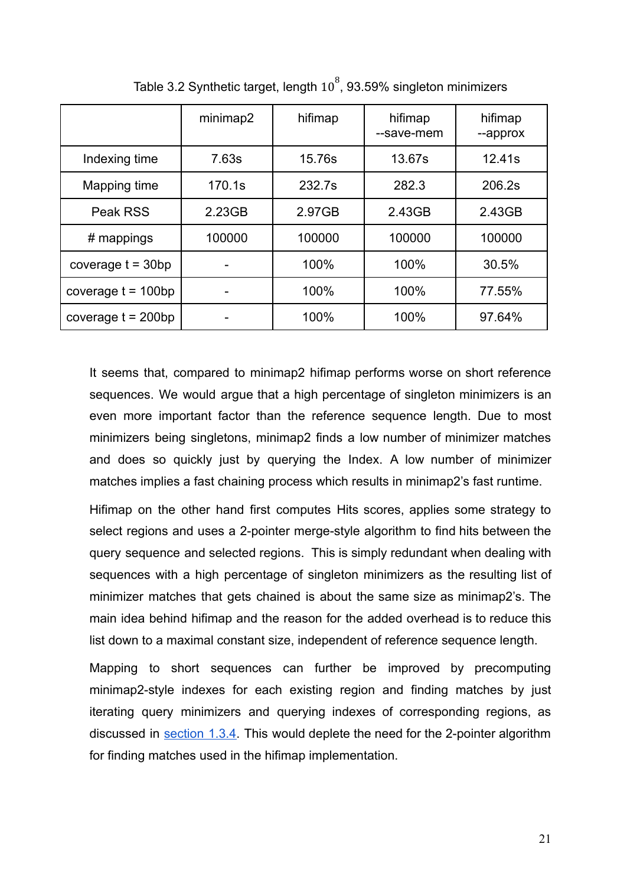|                      | minimap2 | hifimap | hifimap<br>--save-mem | hifimap<br>--approx |
|----------------------|----------|---------|-----------------------|---------------------|
| Indexing time        | 7.63s    | 15.76s  | 13.67s                | 12.41s              |
| Mapping time         | 170.1s   | 232.7s  | 282.3                 | 206.2s              |
| Peak RSS             | 2.23GB   | 2.97GB  | 2.43GB                | 2.43GB              |
| $#$ mappings         | 100000   | 100000  | 100000                | 100000              |
| coverage $t = 30bp$  |          | 100%    | 100%                  | 30.5%               |
| coverage $t = 100bp$ |          | 100%    | 100%                  | 77.55%              |
| coverage $t = 200bp$ |          | 100%    | 100%                  | 97.64%              |

Table 3.2 Synthetic target, length  $10^8$ , 93.59% singleton minimizers

It seems that, compared to minimap2 hifimap performs worse on short reference sequences. We would argue that a high percentage of singleton minimizers is an even more important factor than the reference sequence length. Due to most minimizers being singletons, minimap2 finds a low number of minimizer matches and does so quickly just by querying the Index. A low number of minimizer matches implies a fast chaining process which results in minimap2's fast runtime.

Hifimap on the other hand first computes Hits scores, applies some strategy to select regions and uses a 2-pointer merge-style algorithm to find hits between the query sequence and selected regions. This is simply redundant when dealing with sequences with a high percentage of singleton minimizers as the resulting list of minimizer matches that gets chained is about the same size as minimap2's. The main idea behind hifimap and the reason for the added overhead is to reduce this list down to a maximal constant size, independent of reference sequence length.

Mapping to short sequences can further be improved by precomputing minimap2-style indexes for each existing region and finding matches by just iterating query minimizers and querying indexes of corresponding regions, as discussed in [section](#page-15-0) 1.3.4. This would deplete the need for the 2-pointer algorithm for finding matches used in the hifimap implementation.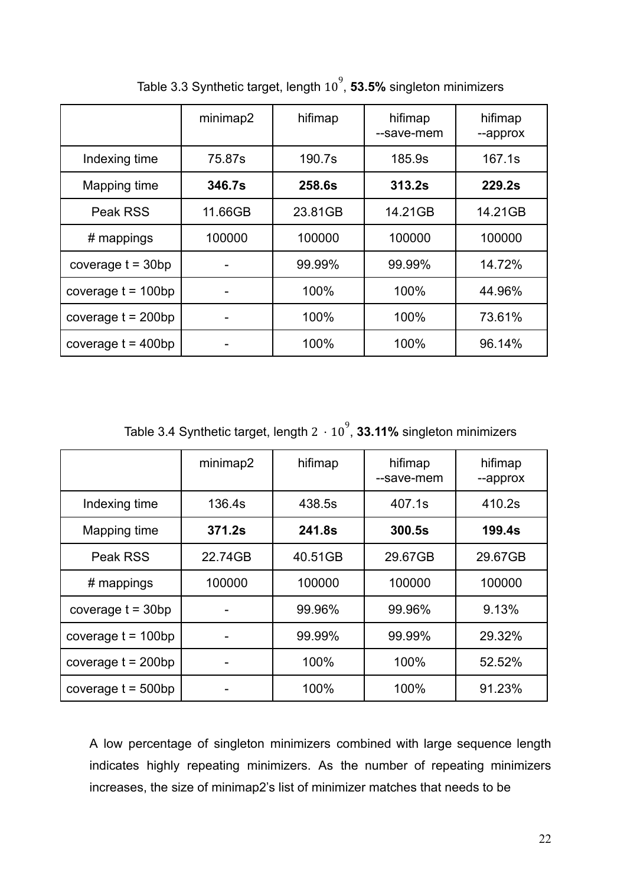|                      | minimap2 | hifimap | hifimap<br>--save-mem | hifimap<br>--approx |
|----------------------|----------|---------|-----------------------|---------------------|
| Indexing time        | 75.87s   | 190.7s  | 185.9s                | 167.1s              |
| Mapping time         | 346.7s   | 258.6s  | 313.2s                | 229.2s              |
| Peak RSS             | 11.66GB  | 23.81GB | 14.21GB               | 14.21GB             |
| $#$ mappings         | 100000   | 100000  | 100000                | 100000              |
| coverage $t = 30bp$  |          | 99.99%  | 99.99%                | 14.72%              |
| coverage $t = 100bp$ |          | 100%    | 100%                  | 44.96%              |
| coverage $t = 200bp$ |          | 100%    | 100%                  | 73.61%              |
| coverage $t = 400bp$ |          | 100%    | 100%                  | 96.14%              |

Table 3.3 Synthetic target, length  $10^9$ , **53.5%** singleton minimizers

Table 3.4 Synthetic target, length  $2 \cdot 10^9$ , **33.11%** singleton minimizers

|                      | minimap2 | hifimap | hifimap<br>--save-mem | hifimap<br>--approx |
|----------------------|----------|---------|-----------------------|---------------------|
| Indexing time        | 136.4s   | 438.5s  | 407.1s                | 410.2s              |
| Mapping time         | 371.2s   | 241.8s  | 300.5s                | 199.4s              |
| Peak RSS             | 22.74GB  | 40.51GB | 29.67GB               | 29.67GB             |
| # mappings           | 100000   | 100000  | 100000                | 100000              |
| coverage $t = 30bp$  |          | 99.96%  | 99.96%                | 9.13%               |
| coverage $t = 100bp$ |          | 99.99%  | 99.99%                | 29.32%              |
| coverage $t = 200bp$ |          | 100%    | 100%                  | 52.52%              |
| coverage $t = 500bp$ |          | 100%    | 100%                  | 91.23%              |

A low percentage of singleton minimizers combined with large sequence length indicates highly repeating minimizers. As the number of repeating minimizers increases, the size of minimap2's list of minimizer matches that needs to be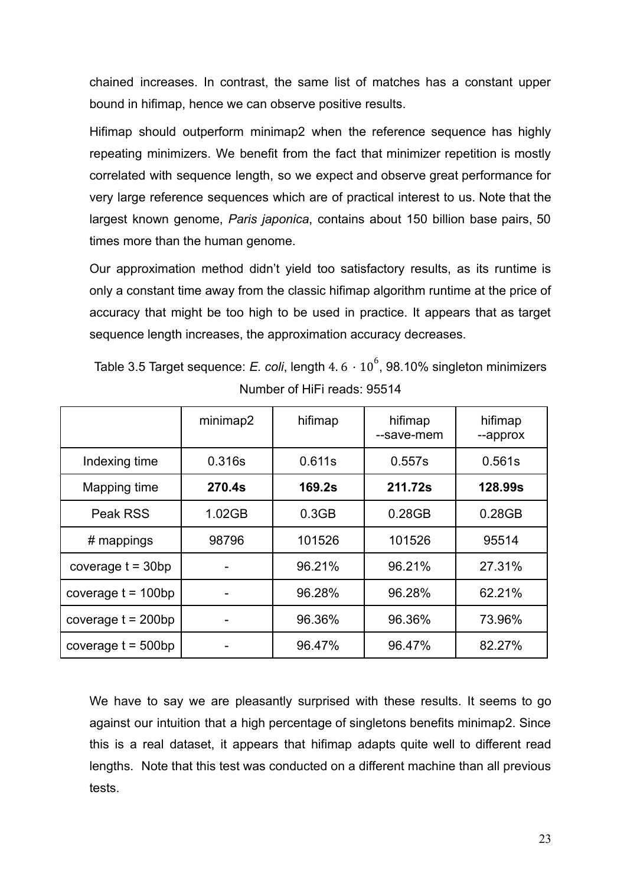chained increases. In contrast, the same list of matches has a constant upper bound in hifimap, hence we can observe positive results.

Hifimap should outperform minimap2 when the reference sequence has highly repeating minimizers. We benefit from the fact that minimizer repetition is mostly correlated with sequence length, so we expect and observe great performance for very large reference sequences which are of practical interest to us. Note that the largest known genome, *Paris japonica*, contains about 150 billion base pairs, 50 times more than the human genome.

Our approximation method didn't yield too satisfactory results, as its runtime is only a constant time away from the classic hifimap algorithm runtime at the price of accuracy that might be too high to be used in practice. It appears that as target sequence length increases, the approximation accuracy decreases.

Table 3.5 Target sequence: *E. coli*, length  $4.6 \cdot 10^6$ , 98.10% singleton minimizers Number of HiFi reads: 95514

|                      | minimap2 | hifimap | hifimap<br>--save-mem | hifimap<br>--approx |
|----------------------|----------|---------|-----------------------|---------------------|
| Indexing time        | 0.316s   | 0.611s  | 0.557s                | 0.561s              |
| Mapping time         | 270.4s   | 169.2s  | 211.72s               | <b>128.99s</b>      |
| Peak RSS             | 1.02GB   | 0.3GB   | 0.28GB                | 0.28GB              |
| $#$ mappings         | 98796    | 101526  | 101526                | 95514               |
| coverage $t = 30bp$  |          | 96.21%  | 96.21%                | 27.31%              |
| coverage $t = 100bp$ |          | 96.28%  | 96.28%                | 62.21%              |
| coverage $t = 200bp$ |          | 96.36%  | 96.36%                | 73.96%              |
| coverage $t = 500bp$ |          | 96.47%  | 96.47%                | 82.27%              |

We have to say we are pleasantly surprised with these results. It seems to go against our intuition that a high percentage of singletons benefits minimap2. Since this is a real dataset, it appears that hifimap adapts quite well to different read lengths. Note that this test was conducted on a different machine than all previous tests.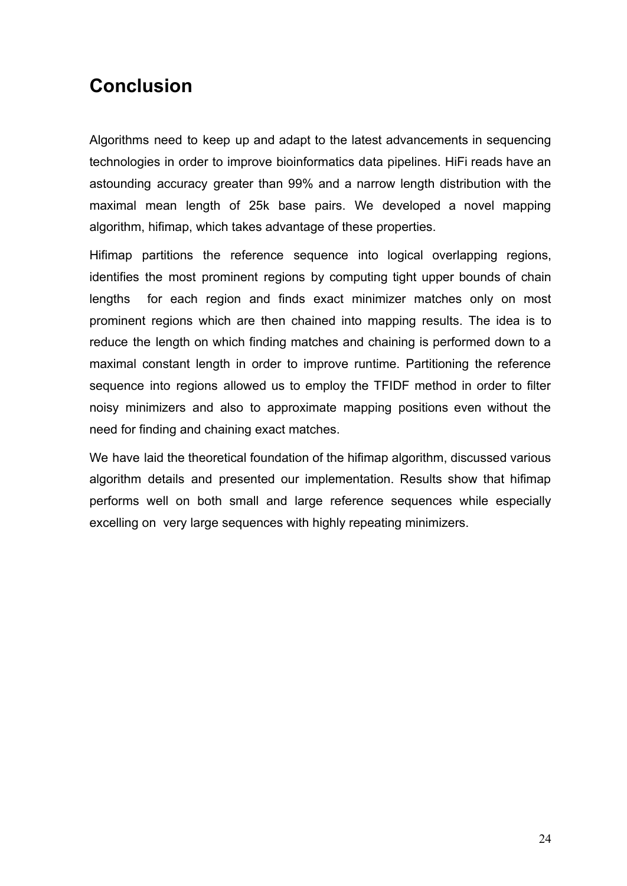## <span id="page-25-0"></span>**Conclusion**

Algorithms need to keep up and adapt to the latest advancements in sequencing technologies in order to improve bioinformatics data pipelines. HiFi reads have an astounding accuracy greater than 99% and a narrow length distribution with the maximal mean length of 25k base pairs. We developed a novel mapping algorithm, hifimap, which takes advantage of these properties.

Hifimap partitions the reference sequence into logical overlapping regions, identifies the most prominent regions by computing tight upper bounds of chain lengths for each region and finds exact minimizer matches only on most prominent regions which are then chained into mapping results. The idea is to reduce the length on which finding matches and chaining is performed down to a maximal constant length in order to improve runtime. Partitioning the reference sequence into regions allowed us to employ the TFIDF method in order to filter noisy minimizers and also to approximate mapping positions even without the need for finding and chaining exact matches.

We have laid the theoretical foundation of the hifimap algorithm, discussed various algorithm details and presented our implementation. Results show that hifimap performs well on both small and large reference sequences while especially excelling on very large sequences with highly repeating minimizers.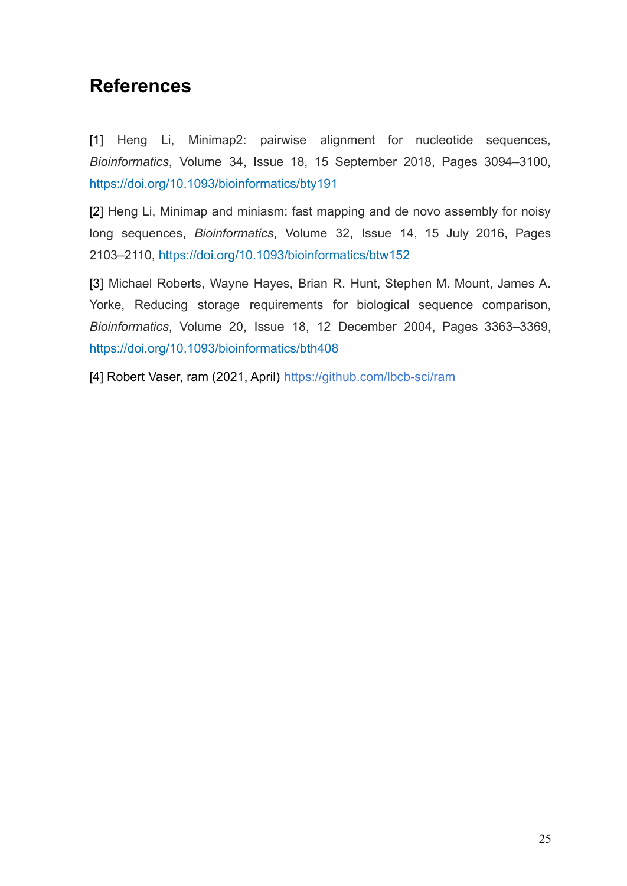## <span id="page-26-0"></span>**References**

[1] Heng Li, Minimap2: pairwise alignment for nucleotide sequences, *Bioinformatics*, Volume 34, Issue 18, 15 September 2018, Pages 3094–3100, <https://doi.org/10.1093/bioinformatics/bty191>

[2] Heng Li, Minimap and miniasm: fast mapping and de novo assembly for noisy long sequences, *Bioinformatics*, Volume 32, Issue 14, 15 July 2016, Pages 2103–2110, <https://doi.org/10.1093/bioinformatics/btw152>

[3] Michael Roberts, Wayne Hayes, Brian R. Hunt, Stephen M. Mount, James A. Yorke, Reducing storage requirements for biological sequence comparison, *Bioinformatics*, Volume 20, Issue 18, 12 December 2004, Pages 3363–3369, <https://doi.org/10.1093/bioinformatics/bth408>

[4] Robert Vaser, ram (2021, April) <https://github.com/lbcb-sci/ram>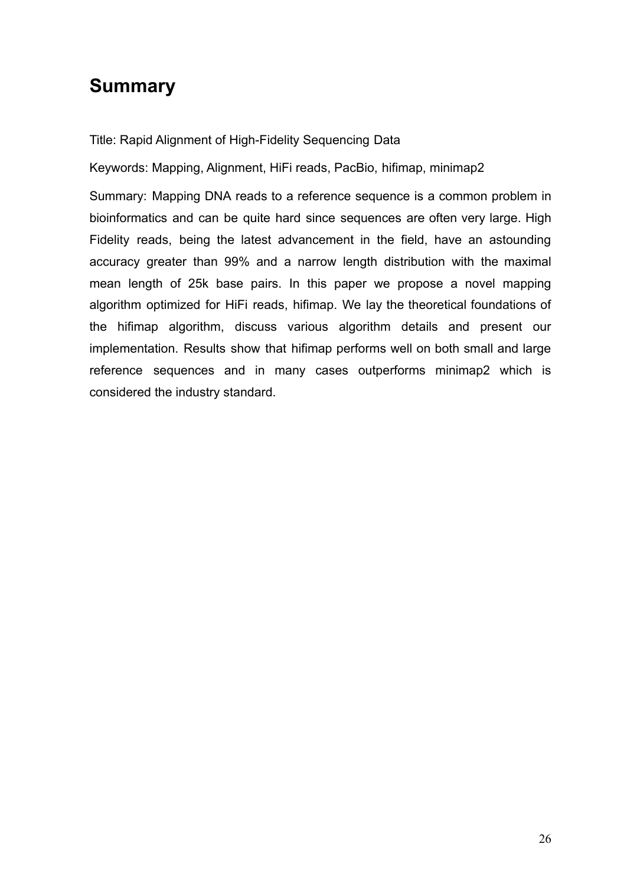# <span id="page-27-0"></span>**Summary**

Title: Rapid Alignment of High-Fidelity Sequencing Data

Keywords: Mapping, Alignment, HiFi reads, PacBio, hifimap, minimap2

Summary: Mapping DNA reads to a reference sequence is a common problem in bioinformatics and can be quite hard since sequences are often very large. High Fidelity reads, being the latest advancement in the field, have an astounding accuracy greater than 99% and a narrow length distribution with the maximal mean length of 25k base pairs. In this paper we propose a novel mapping algorithm optimized for HiFi reads, hifimap. We lay the theoretical foundations of the hifimap algorithm, discuss various algorithm details and present our implementation. Results show that hifimap performs well on both small and large reference sequences and in many cases outperforms minimap2 which is considered the industry standard.